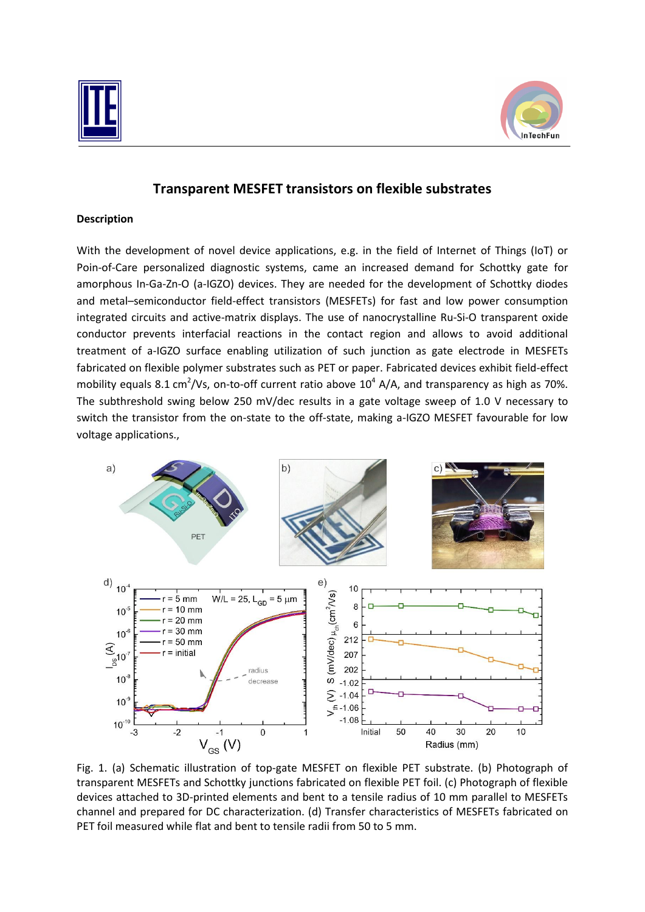



# **Transparent MESFET transistors on flexible substrates**

#### **Description**

With the development of novel device applications, e.g. in the field of Internet of Things (IoT) or Poin-of-Care personalized diagnostic systems, came an increased demand for Schottky gate for amorphous In-Ga-Zn-O (a-IGZO) devices. They are needed for the development of Schottky diodes and metal–semiconductor field-effect transistors (MESFETs) for fast and low power consumption integrated circuits and active-matrix displays. The use of nanocrystalline Ru-Si-O transparent oxide conductor prevents interfacial reactions in the contact region and allows to avoid additional treatment of a-IGZO surface enabling utilization of such junction as gate electrode in MESFETs fabricated on flexible polymer substrates such as PET or paper. Fabricated devices exhibit field-effect mobility equals 8.1 cm<sup>2</sup>/Vs, on-to-off current ratio above  $10^4$  A/A, and transparency as high as 70%. The subthreshold swing below 250 mV/dec results in a gate voltage sweep of 1.0 V necessary to switch the transistor from the on-state to the off-state, making a-IGZO MESFET favourable for low voltage applications.,



Fig. 1. (a) Schematic illustration of top-gate MESFET on flexible PET substrate. (b) Photograph of transparent MESFETs and Schottky junctions fabricated on flexible PET foil. (c) Photograph of flexible devices attached to 3D-printed elements and bent to a tensile radius of 10 mm parallel to MESFETs channel and prepared for DC characterization. (d) Transfer characteristics of MESFETs fabricated on PET foil measured while flat and bent to tensile radii from 50 to 5 mm.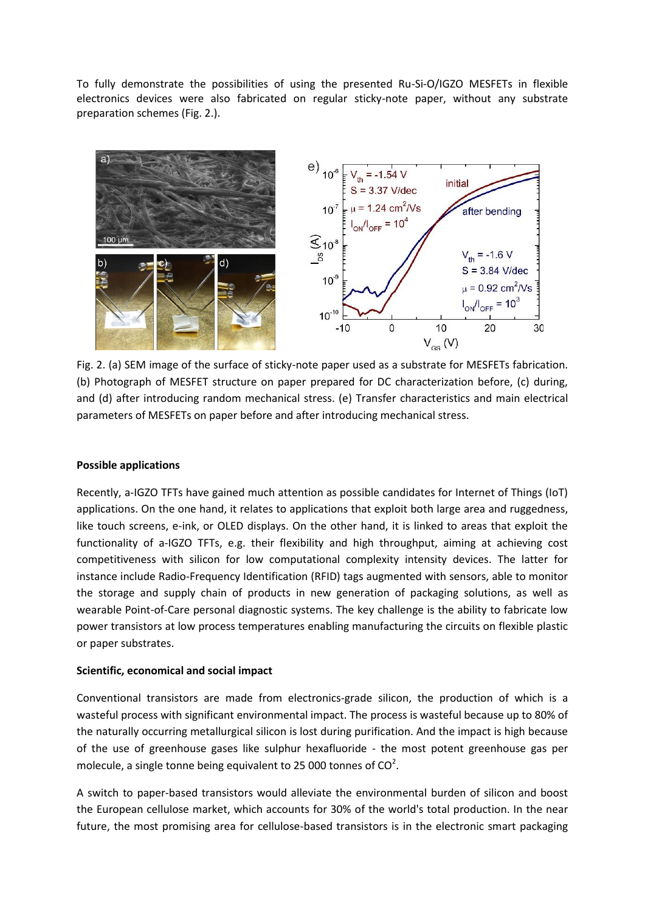To fully demonstrate the possibilities of using the presented Ru-Si-O/IGZO MESFETs in flexible electronics devices were also fabricated on regular sticky-note paper, without any substrate preparation schemes (Fig. 2.).



Fig. 2. (a) SEM image of the surface of sticky-note paper used as a substrate for MESFETs fabrication. (b) Photograph of MESFET structure on paper prepared for DC characterization before, (c) during, and (d) after introducing random mechanical stress. (e) Transfer characteristics and main electrical parameters of MESFETs on paper before and after introducing mechanical stress.

#### **Possible applications**

Recently, a-IGZO TFTs have gained much attention as possible candidates for Internet of Things (IoT) applications. On the one hand, it relates to applications that exploit both large area and ruggedness, like touch screens, e-ink, or OLED displays. On the other hand, it is linked to areas that exploit the functionality of a-IGZO TFTs, e.g. their flexibility and high throughput, aiming at achieving cost competitiveness with silicon for low computational complexity intensity devices. The latter for instance include Radio-Frequency Identification (RFID) tags augmented with sensors, able to monitor the storage and supply chain of products in new generation of packaging solutions, as well as wearable Point-of-Care personal diagnostic systems. The key challenge is the ability to fabricate low power transistors at low process temperatures enabling manufacturing the circuits on flexible plastic or paper substrates.

#### **Scientific, economical and social impact**

Conventional transistors are made from electronics-grade silicon, the production of which is a wasteful process with significant environmental impact. The process is wasteful because up to 80% of the naturally occurring metallurgical silicon is lost during purification. And the impact is high because of the use of greenhouse gases like sulphur hexafluoride - the most potent greenhouse gas per molecule, a single tonne being equivalent to 25 000 tonnes of  $CO<sup>2</sup>$ .

A switch to paper-based transistors would alleviate the environmental burden of silicon and boost the European cellulose market, which accounts for 30% of the world's total production. In the near future, the most promising area for cellulose-based transistors is in the electronic smart packaging